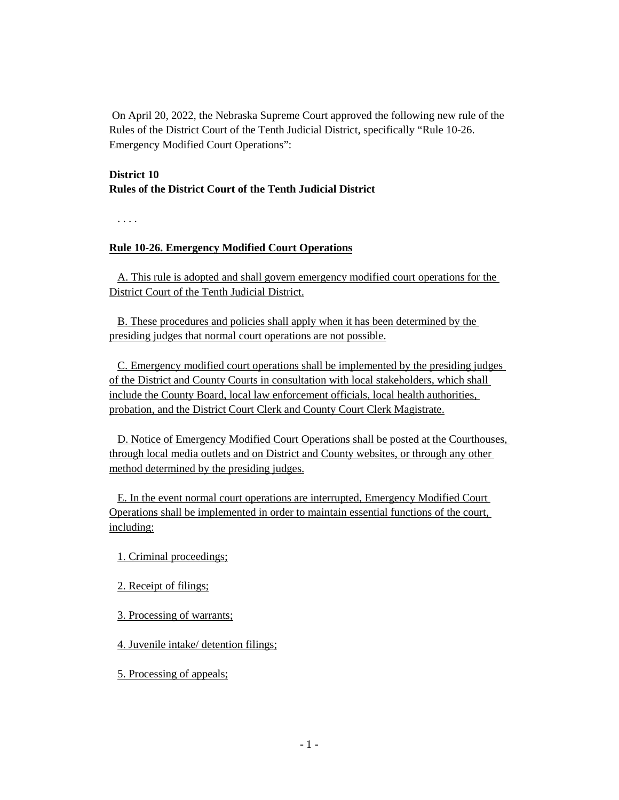On April 20, 2022, the Nebraska Supreme Court approved the following new rule of the Rules of the District Court of the Tenth Judicial District, specifically "Rule 10-26. Emergency Modified Court Operations":

## **District 10 Rules of the District Court of the Tenth Judicial District**

. . . .

## **Rule 10-26. Emergency Modified Court Operations**

A. This rule is adopted and shall govern emergency modified court operations for the District Court of the Tenth Judicial District.

B. These procedures and policies shall apply when it has been determined by the presiding judges that normal court operations are not possible.

C. Emergency modified court operations shall be implemented by the presiding judges of the District and County Courts in consultation with local stakeholders, which shall include the County Board, local law enforcement officials, local health authorities, probation, and the District Court Clerk and County Court Clerk Magistrate.

D. Notice of Emergency Modified Court Operations shall be posted at the Courthouses, through local media outlets and on District and County websites, or through any other method determined by the presiding judges.

E. In the event normal court operations are interrupted, Emergency Modified Court Operations shall be implemented in order to maintain essential functions of the court, including:

1. Criminal proceedings;

- 2. Receipt of filings;
- 3. Processing of warrants;

4. Juvenile intake/ detention filings;

5. Processing of appeals;